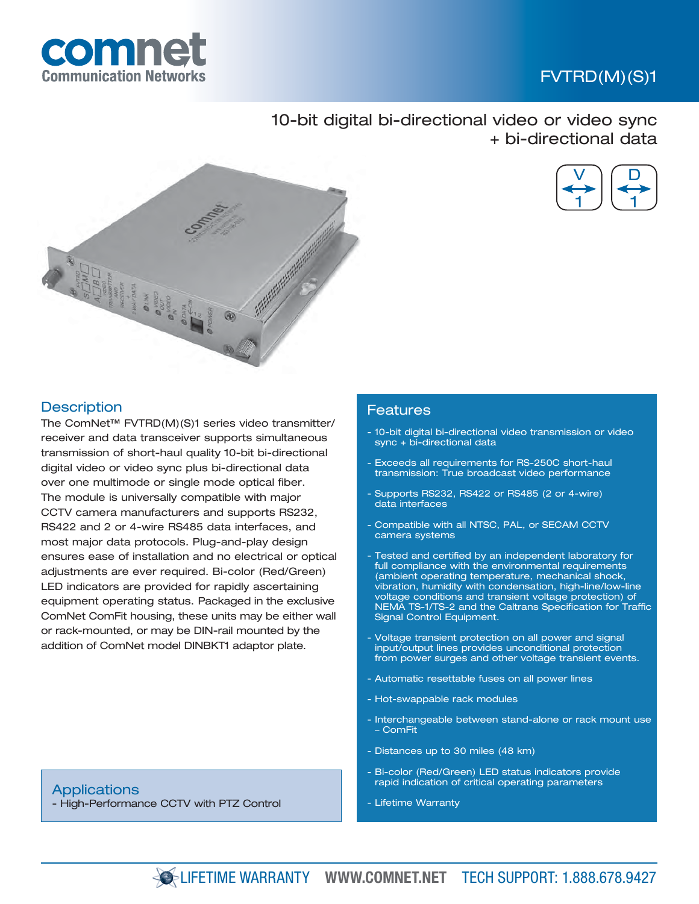

# FVTRD(M)(S)1

10-bit digital bi-directional video or video sync + bi-directional data





## **Description**

The ComNet™ FVTRD(M)(S)1 series video transmitter/ receiver and data transceiver supports simultaneous transmission of short-haul quality 10-bit bi-directional digital video or video sync plus bi-directional data over one multimode or single mode optical fiber. The module is universally compatible with major CCTV camera manufacturers and supports RS232, RS422 and 2 or 4-wire RS485 data interfaces, and most major data protocols. Plug-and-play design ensures ease of installation and no electrical or optical adjustments are ever required. Bi-color (Red/Green) LED indicators are provided for rapidly ascertaining equipment operating status. Packaged in the exclusive ComNet ComFit housing, these units may be either wall or rack-mounted, or may be DIN-rail mounted by the addition of ComNet model DINBKT1 adaptor plate.

### Features

- 10-bit digital bi-directional video transmission or video sync + bi-directional data
- Exceeds all requirements for RS-250C short-haul transmission: True broadcast video performance
- Supports RS232, RS422 or RS485 (2 or 4-wire) data interfaces
- Compatible with all NTSC, PAL, or SECAM CCTV camera systems
- Tested and certified by an independent laboratory for full compliance with the environmental requirements (ambient operating temperature, mechanical shock, vibration, humidity with condensation, high-line/low-line voltage conditions and transient voltage protection) of NEMA TS-1/TS-2 and the Caltrans Specification for Traffic Signal Control Equipment.
- Voltage transient protection on all power and signal input/output lines provides unconditional protection from power surges and other voltage transient events.
- Automatic resettable fuses on all power lines
- Hot-swappable rack modules
- Interchangeable between stand-alone or rack mount use – ComFit
- Distances up to 30 miles (48 km)
- Bi-color (Red/Green) LED status indicators provide rapid indication of critical operating parameters
- Lifetime Warranty

**Applications** 

- High-Performance CCTV with PTZ Control